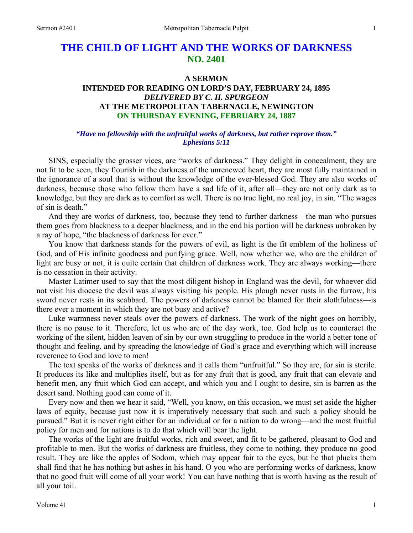# **THE CHILD OF LIGHT AND THE WORKS OF DARKNESS NO. 2401**

#### **A SERMON**

# **INTENDED FOR READING ON LORD'S DAY, FEBRUARY 24, 1895**  *DELIVERED BY C. H. SPURGEON*  **AT THE METROPOLITAN TABERNACLE, NEWINGTON ON THURSDAY EVENING, FEBRUARY 24, 1887**

# *"Have no fellowship with the unfruitful works of darkness, but rather reprove them." Ephesians 5:11*

SINS, especially the grosser vices, are "works of darkness." They delight in concealment, they are not fit to be seen, they flourish in the darkness of the unrenewed heart, they are most fully maintained in the ignorance of a soul that is without the knowledge of the ever-blessed God. They are also works of darkness, because those who follow them have a sad life of it, after all—they are not only dark as to knowledge, but they are dark as to comfort as well. There is no true light, no real joy, in sin. "The wages of sin is death."

 And they are works of darkness, too, because they tend to further darkness—the man who pursues them goes from blackness to a deeper blackness, and in the end his portion will be darkness unbroken by a ray of hope, "the blackness of darkness for ever."

 You know that darkness stands for the powers of evil, as light is the fit emblem of the holiness of God, and of His infinite goodness and purifying grace. Well, now whether we, who are the children of light are busy or not, it is quite certain that children of darkness work. They are always working—there is no cessation in their activity.

 Master Latimer used to say that the most diligent bishop in England was the devil, for whoever did not visit his diocese the devil was always visiting his people. His plough never rusts in the furrow, his sword never rests in its scabbard. The powers of darkness cannot be blamed for their slothfulness—is there ever a moment in which they are not busy and active?

 Luke warmness never steals over the powers of darkness. The work of the night goes on horribly, there is no pause to it. Therefore, let us who are of the day work, too. God help us to counteract the working of the silent, hidden leaven of sin by our own struggling to produce in the world a better tone of thought and feeling, and by spreading the knowledge of God's grace and everything which will increase reverence to God and love to men!

 The text speaks of the works of darkness and it calls them "unfruitful." So they are, for sin is sterile. It produces its like and multiplies itself, but as for any fruit that is good, any fruit that can elevate and benefit men, any fruit which God can accept, and which you and I ought to desire, sin is barren as the desert sand. Nothing good can come of it.

 Every now and then we hear it said, "Well, you know, on this occasion, we must set aside the higher laws of equity, because just now it is imperatively necessary that such and such a policy should be pursued." But it is never right either for an individual or for a nation to do wrong—and the most fruitful policy for men and for nations is to do that which will bear the light.

 The works of the light are fruitful works, rich and sweet, and fit to be gathered, pleasant to God and profitable to men. But the works of darkness are fruitless, they come to nothing, they produce no good result. They are like the apples of Sodom, which may appear fair to the eyes, but he that plucks them shall find that he has nothing but ashes in his hand. O you who are performing works of darkness, know that no good fruit will come of all your work! You can have nothing that is worth having as the result of all your toil.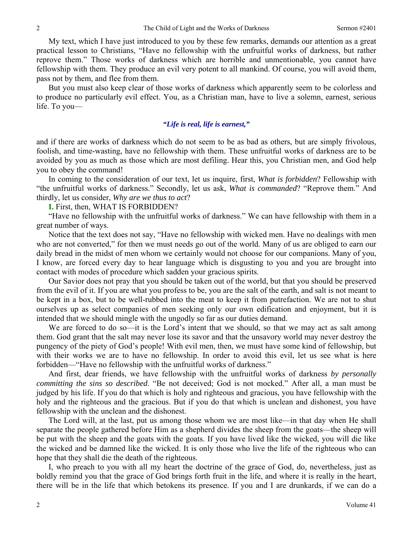My text, which I have just introduced to you by these few remarks, demands our attention as a great practical lesson to Christians, "Have no fellowship with the unfruitful works of darkness, but rather reprove them." Those works of darkness which are horrible and unmentionable, you cannot have fellowship with them. They produce an evil very potent to all mankind. Of course, you will avoid them, pass not by them, and flee from them.

 But you must also keep clear of those works of darkness which apparently seem to be colorless and to produce no particularly evil effect. You, as a Christian man, have to live a solemn, earnest, serious life. To you—

#### *"Life is real, life is earnest,"*

and if there are works of darkness which do not seem to be as bad as others, but are simply frivolous, foolish, and time-wasting, have no fellowship with them. These unfruitful works of darkness are to be avoided by you as much as those which are most defiling. Hear this, you Christian men, and God help you to obey the command!

 In coming to the consideration of our text, let us inquire, first, *What is forbidden*? Fellowship with "the unfruitful works of darkness." Secondly, let us ask, *What is commanded*? "Reprove them." And thirdly, let us consider, *Why are we thus to act*?

**I.** First, then, WHAT IS FORBIDDEN?

 "Have no fellowship with the unfruitful works of darkness." We can have fellowship with them in a great number of ways.

 Notice that the text does not say, "Have no fellowship with wicked men. Have no dealings with men who are not converted," for then we must needs go out of the world. Many of us are obliged to earn our daily bread in the midst of men whom we certainly would not choose for our companions. Many of you, I know, are forced every day to hear language which is disgusting to you and you are brought into contact with modes of procedure which sadden your gracious spirits.

 Our Savior does not pray that you should be taken out of the world, but that you should be preserved from the evil of it. If you are what you profess to be, you are the salt of the earth, and salt is not meant to be kept in a box, but to be well-rubbed into the meat to keep it from putrefaction. We are not to shut ourselves up as select companies of men seeking only our own edification and enjoyment, but it is intended that we should mingle with the ungodly so far as our duties demand.

We are forced to do so—it is the Lord's intent that we should, so that we may act as salt among them. God grant that the salt may never lose its savor and that the unsavory world may never destroy the pungency of the piety of God's people! With evil men, then, we must have some kind of fellowship, but with their works we are to have no fellowship. In order to avoid this evil, let us see what is here forbidden—"Have no fellowship with the unfruitful works of darkness."

 And first, dear friends, we have fellowship with the unfruitful works of darkness *by personally committing the sins so described*. "Be not deceived; God is not mocked." After all, a man must be judged by his life. If you do that which is holy and righteous and gracious, you have fellowship with the holy and the righteous and the gracious. But if you do that which is unclean and dishonest, you have fellowship with the unclean and the dishonest.

 The Lord will, at the last, put us among those whom we are most like—in that day when He shall separate the people gathered before Him as a shepherd divides the sheep from the goats—the sheep will be put with the sheep and the goats with the goats. If you have lived like the wicked, you will die like the wicked and be damned like the wicked. It is only those who live the life of the righteous who can hope that they shall die the death of the righteous.

 I, who preach to you with all my heart the doctrine of the grace of God, do, nevertheless, just as boldly remind you that the grace of God brings forth fruit in the life, and where it is really in the heart, there will be in the life that which betokens its presence. If you and I are drunkards, if we can do a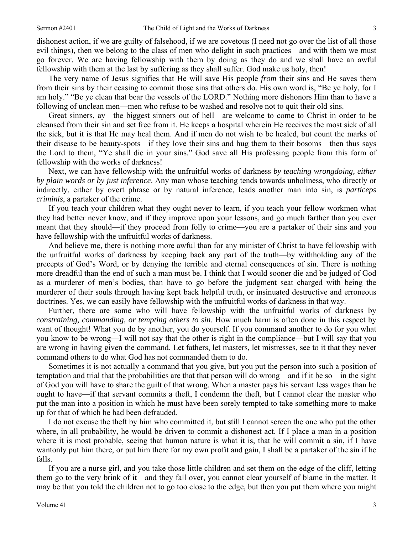dishonest action, if we are guilty of falsehood, if we are covetous (I need not go over the list of all those evil things), then we belong to the class of men who delight in such practices—and with them we must go forever. We are having fellowship with them by doing as they do and we shall have an awful fellowship with them at the last by suffering as they shall suffer. God make us holy, then!

 The very name of Jesus signifies that He will save His people *from* their sins and He saves them from their sins by their ceasing to commit those sins that others do. His own word is, "Be ye holy, for I am holy." "Be ye clean that bear the vessels of the LORD." Nothing more dishonors Him than to have a following of unclean men—men who refuse to be washed and resolve not to quit their old sins.

 Great sinners, ay—the biggest sinners out of hell—are welcome to come to Christ in order to be cleansed from their sin and set free from it. He keeps a hospital wherein He receives the most sick of all the sick, but it is that He may heal them. And if men do not wish to be healed, but count the marks of their disease to be beauty-spots—if they love their sins and hug them to their bosoms—then thus says the Lord to them, "Ye shall die in your sins." God save all His professing people from this form of fellowship with the works of darkness!

 Next, we can have fellowship with the unfruitful works of darkness *by teaching wrongdoing, either by plain words or by just inference*. Any man whose teaching tends towards unholiness, who directly or indirectly, either by overt phrase or by natural inference, leads another man into sin, is *particeps criminis*, a partaker of the crime.

 If you teach your children what they ought never to learn, if you teach your fellow workmen what they had better never know, and if they improve upon your lessons, and go much farther than you ever meant that they should—if they proceed from folly to crime—you are a partaker of their sins and you have fellowship with the unfruitful works of darkness.

 And believe me, there is nothing more awful than for any minister of Christ to have fellowship with the unfruitful works of darkness by keeping back any part of the truth—by withholding any of the precepts of God's Word, or by denying the terrible and eternal consequences of sin. There is nothing more dreadful than the end of such a man must be. I think that I would sooner die and be judged of God as a murderer of men's bodies, than have to go before the judgment seat charged with being the murderer of their souls through having kept back helpful truth, or insinuated destructive and erroneous doctrines. Yes, we can easily have fellowship with the unfruitful works of darkness in that way.

 Further, there are some who will have fellowship with the unfruitful works of darkness by *constraining, commanding, or tempting others to sin*. How much harm is often done in this respect by want of thought! What you do by another, you do yourself. If you command another to do for you what you know to be wrong—I will not say that the other is right in the compliance—but I will say that you are wrong in having given the command. Let fathers, let masters, let mistresses, see to it that they never command others to do what God has not commanded them to do.

 Sometimes it is not actually a command that you give, but you put the person into such a position of temptation and trial that the probabilities are that that person will do wrong—and if it be so—in the sight of God you will have to share the guilt of that wrong. When a master pays his servant less wages than he ought to have—if that servant commits a theft, I condemn the theft, but I cannot clear the master who put the man into a position in which he must have been sorely tempted to take something more to make up for that of which he had been defrauded.

 I do not excuse the theft by him who committed it, but still I cannot screen the one who put the other where, in all probability, he would be driven to commit a dishonest act. If I place a man in a position where it is most probable, seeing that human nature is what it is, that he will commit a sin, if I have wantonly put him there, or put him there for my own profit and gain, I shall be a partaker of the sin if he falls.

 If you are a nurse girl, and you take those little children and set them on the edge of the cliff, letting them go to the very brink of it—and they fall over, you cannot clear yourself of blame in the matter. It may be that you told the children not to go too close to the edge, but then you put them where you might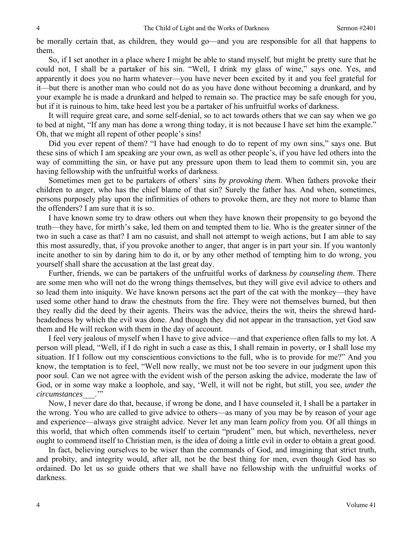be morally certain that, as children, they would go—and you are responsible for all that happens to them.

 So, if I set another in a place where I might be able to stand myself, but might be pretty sure that he could not, I shall be a partaker of his sin. "Well, I drink my glass of wine," says one. Yes, and apparently it does you no harm whatever—you have never been excited by it and you feel grateful for it—but there is another man who could not do as you have done without becoming a drunkard, and by your example he is made a drunkard and helped to remain so. The practice may be safe enough for you, but if it is ruinous to him, take heed lest you be a partaker of his unfruitful works of darkness.

 It will require great care, and some self-denial, so to act towards others that we can say when we go to bed at night, "If any man has done a wrong thing today, it is not because I have set him the example." Oh, that we might all repent of other people's sins!

 Did you ever repent of them? "I have had enough to do to repent of my own sins," says one. But these sins of which I am speaking are your own, as well as other people's, if you have led others into the way of committing the sin, or have put any pressure upon them to lead them to commit sin, you are having fellowship with the unfruitful works of darkness.

 Sometimes men get to be partakers of others' sins *by provoking them*. When fathers provoke their children to anger, who has the chief blame of that sin? Surely the father has. And when, sometimes, persons purposely play upon the infirmities of others to provoke them, are they not more to blame than the offenders? I am sure that it is so.

 I have known some try to draw others out when they have known their propensity to go beyond the truth—they have, for mirth's sake, led them on and tempted them to lie. Who is the greater sinner of the two in such a case as that? I am no casuist, and shall not attempt to weigh actions, but I am able to say this most assuredly, that, if you provoke another to anger, that anger is in part your sin. If you wantonly incite another to sin by daring him to do it, or by any other method of tempting him to do wrong, you yourself shall share the accusation at the last great day.

 Further, friends, we can be partakers of the unfruitful works of darkness *by counseling them*. There are some men who will not do the wrong things themselves, but they will give evil advice to others and so lead them into iniquity. We have known persons act the part of the cat with the monkey—they have used some other hand to draw the chestnuts from the fire. They were not themselves burned, but then they really did the deed by their agents. Theirs was the advice, theirs the wit, theirs the shrewd hardheadedness by which the evil was done. And though they did not appear in the transaction, yet God saw them and He will reckon with them in the day of account.

 I feel very jealous of myself when I have to give advice—and that experience often falls to my lot. A person will plead, "Well, if I do right in such a case as this, I shall remain in poverty, or I shall lose my situation. If I follow out my conscientious convictions to the full, who is to provide for me?" And you know, the temptation is to feel, "Well now really, we must not be too severe in our judgment upon this poor soul. Can we not agree with the evident wish of the person asking the advice, moderate the law of God, or in some way make a loophole, and say, 'Well, it will not be right, but still, you see, *under the circumstances*\_\_\_.'"

 Now, I never dare do that, because, if wrong be done, and I have counseled it, I shall be a partaker in the wrong. You who are called to give advice to others—as many of you may be by reason of your age and experience—always give straight advice. Never let any man learn *policy* from you. Of all things in this world, that which often commends itself to certain "prudent" men, but which, nevertheless, never ought to commend itself to Christian men, is the idea of doing a little evil in order to obtain a great good.

 In fact, believing ourselves to be wiser than the commands of God, and imagining that strict truth, and probity, and integrity would, after all, not be the best thing for men, even though God has so ordained. Do let us so guide others that we shall have no fellowship with the unfruitful works of darkness.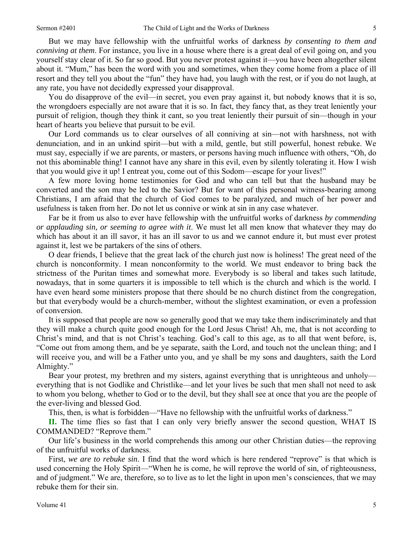But we may have fellowship with the unfruitful works of darkness *by consenting to them and conniving at them*. For instance, you live in a house where there is a great deal of evil going on, and you yourself stay clear of it. So far so good. But you never protest against it—you have been altogether silent about it. "Mum," has been the word with you and sometimes, when they come home from a place of ill resort and they tell you about the "fun" they have had, you laugh with the rest, or if you do not laugh, at any rate, you have not decidedly expressed your disapproval.

 You do disapprove of the evil—in secret, you even pray against it, but nobody knows that it is so, the wrongdoers especially are not aware that it is so. In fact, they fancy that, as they treat leniently your pursuit of religion, though they think it cant, so you treat leniently their pursuit of sin—though in your heart of hearts you believe that pursuit to be evil.

 Our Lord commands us to clear ourselves of all conniving at sin—not with harshness, not with denunciation, and in an unkind spirit—but with a mild, gentle, but still powerful, honest rebuke. We must say, especially if we are parents, or masters, or persons having much influence with others, "Oh, do not this abominable thing! I cannot have any share in this evil, even by silently tolerating it. How I wish that you would give it up! I entreat you, come out of this Sodom—escape for your lives!"

 A few more loving home testimonies for God and who can tell but that the husband may be converted and the son may be led to the Savior? But for want of this personal witness-bearing among Christians, I am afraid that the church of God comes to be paralyzed, and much of her power and usefulness is taken from her. Do not let us connive or wink at sin in any case whatever.

 Far be it from us also to ever have fellowship with the unfruitful works of darkness *by commending or applauding sin, or seeming to agree with it*. We must let all men know that whatever they may do which has about it an ill savor, it has an ill savor to us and we cannot endure it, but must ever protest against it, lest we be partakers of the sins of others.

 O dear friends, I believe that the great lack of the church just now is holiness! The great need of the church is nonconformity. I mean nonconformity to the world. We must endeavor to bring back the strictness of the Puritan times and somewhat more. Everybody is so liberal and takes such latitude, nowadays, that in some quarters it is impossible to tell which is the church and which is the world. I have even heard some ministers propose that there should be no church distinct from the congregation, but that everybody would be a church-member, without the slightest examination, or even a profession of conversion.

 It is supposed that people are now so generally good that we may take them indiscriminately and that they will make a church quite good enough for the Lord Jesus Christ! Ah, me, that is not according to Christ's mind, and that is not Christ's teaching. God's call to this age, as to all that went before, is, "Come out from among them, and be ye separate, saith the Lord, and touch not the unclean thing; and I will receive you, and will be a Father unto you, and ye shall be my sons and daughters, saith the Lord Almighty."

 Bear your protest, my brethren and my sisters, against everything that is unrighteous and unholy everything that is not Godlike and Christlike—and let your lives be such that men shall not need to ask to whom you belong, whether to God or to the devil, but they shall see at once that you are the people of the ever-living and blessed God.

This, then, is what is forbidden—"Have no fellowship with the unfruitful works of darkness."

**II.** The time flies so fast that I can only very briefly answer the second question, WHAT IS COMMANDED? "Reprove them."

 Our life's business in the world comprehends this among our other Christian duties—the reproving of the unfruitful works of darkness.

 First, *we are to rebuke sin*. I find that the word which is here rendered "reprove" is that which is used concerning the Holy Spirit—"When he is come, he will reprove the world of sin, of righteousness, and of judgment." We are, therefore, so to live as to let the light in upon men's consciences, that we may rebuke them for their sin.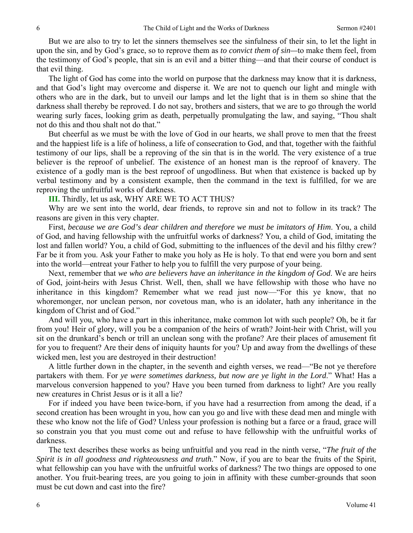But we are also to try to let the sinners themselves see the sinfulness of their sin, to let the light in upon the sin, and by God's grace, so to reprove them as *to convict them of sin—*to make them feel, from the testimony of God's people, that sin is an evil and a bitter thing—and that their course of conduct is that evil thing.

 The light of God has come into the world on purpose that the darkness may know that it is darkness, and that God's light may overcome and disperse it. We are not to quench our light and mingle with others who are in the dark, but to unveil our lamps and let the light that is in them so shine that the darkness shall thereby be reproved. I do not say, brothers and sisters, that we are to go through the world wearing surly faces, looking grim as death, perpetually promulgating the law, and saying, "Thou shalt not do this and thou shalt not do that."

 But cheerful as we must be with the love of God in our hearts, we shall prove to men that the freest and the happiest life is a life of holiness, a life of consecration to God, and that, together with the faithful testimony of our lips, shall be a reproving of the sin that is in the world. The very existence of a true believer is the reproof of unbelief. The existence of an honest man is the reproof of knavery. The existence of a godly man is the best reproof of ungodliness. But when that existence is backed up by verbal testimony and by a consistent example, then the command in the text is fulfilled, for we are reproving the unfruitful works of darkness.

**III.** Thirdly, let us ask, WHY ARE WE TO ACT THUS?

 Why are we sent into the world, dear friends, to reprove sin and not to follow in its track? The reasons are given in this very chapter.

 First, *because we are God's dear children and therefore we must be imitators of Him*. You, a child of God, and having fellowship with the unfruitful works of darkness? You, a child of God, imitating the lost and fallen world? You, a child of God, submitting to the influences of the devil and his filthy crew? Far be it from you. Ask your Father to make you holy as He is holy. To that end were you born and sent into the world—entreat your Father to help you to fulfill the very purpose of your being.

 Next, remember that *we who are believers have an inheritance in the kingdom of God*. We are heirs of God, joint-heirs with Jesus Christ. Well, then, shall we have fellowship with those who have no inheritance in this kingdom? Remember what we read just now—"For this ye know, that no whoremonger, nor unclean person, nor covetous man, who is an idolater, hath any inheritance in the kingdom of Christ and of God."

 And will you, who have a part in this inheritance, make common lot with such people? Oh, be it far from you! Heir of glory, will you be a companion of the heirs of wrath? Joint-heir with Christ, will you sit on the drunkard's bench or trill an unclean song with the profane? Are their places of amusement fit for you to frequent? Are their dens of iniquity haunts for you? Up and away from the dwellings of these wicked men, lest you are destroyed in their destruction!

 A little further down in the chapter, in the seventh and eighth verses, we read—"Be not ye therefore partakers with them. For *ye were sometimes darkness, but now are ye light in the Lord*." What! Has a marvelous conversion happened to you? Have you been turned from darkness to light? Are you really new creatures in Christ Jesus or is it all a lie?

 For if indeed you have been twice-born, if you have had a resurrection from among the dead, if a second creation has been wrought in you, how can you go and live with these dead men and mingle with these who know not the life of God? Unless your profession is nothing but a farce or a fraud, grace will so constrain you that you must come out and refuse to have fellowship with the unfruitful works of darkness.

 The text describes these works as being unfruitful and you read in the ninth verse, "*The fruit of the Spirit is in all goodness and righteousness and truth*." Now, if you are to bear the fruits of the Spirit, what fellowship can you have with the unfruitful works of darkness? The two things are opposed to one another. You fruit-bearing trees, are you going to join in affinity with these cumber-grounds that soon must be cut down and cast into the fire?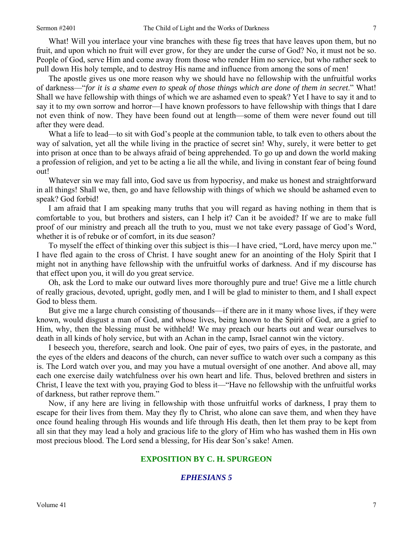What! Will you interlace your vine branches with these fig trees that have leaves upon them, but no fruit, and upon which no fruit will ever grow, for they are under the curse of God? No, it must not be so. People of God, serve Him and come away from those who render Him no service, but who rather seek to pull down His holy temple, and to destroy His name and influence from among the sons of men!

 The apostle gives us one more reason why we should have no fellowship with the unfruitful works of darkness—"*for it is a shame even to speak of those things which are done of them in secret*." What! Shall we have fellowship with things of which we are ashamed even to speak? Yet I have to say it and to say it to my own sorrow and horror—I have known professors to have fellowship with things that I dare not even think of now. They have been found out at length—some of them were never found out till after they were dead.

What a life to lead—to sit with God's people at the communion table, to talk even to others about the way of salvation, yet all the while living in the practice of secret sin! Why, surely, it were better to get into prison at once than to be always afraid of being apprehended. To go up and down the world making a profession of religion, and yet to be acting a lie all the while, and living in constant fear of being found out!

 Whatever sin we may fall into, God save us from hypocrisy, and make us honest and straightforward in all things! Shall we, then, go and have fellowship with things of which we should be ashamed even to speak? God forbid!

 I am afraid that I am speaking many truths that you will regard as having nothing in them that is comfortable to you, but brothers and sisters, can I help it? Can it be avoided? If we are to make full proof of our ministry and preach all the truth to you, must we not take every passage of God's Word, whether it is of rebuke or of comfort, in its due season?

 To myself the effect of thinking over this subject is this—I have cried, "Lord, have mercy upon me." I have fled again to the cross of Christ. I have sought anew for an anointing of the Holy Spirit that I might not in anything have fellowship with the unfruitful works of darkness. And if my discourse has that effect upon you, it will do you great service.

 Oh, ask the Lord to make our outward lives more thoroughly pure and true! Give me a little church of really gracious, devoted, upright, godly men, and I will be glad to minister to them, and I shall expect God to bless them.

 But give me a large church consisting of thousands—if there are in it many whose lives, if they were known, would disgust a man of God, and whose lives, being known to the Spirit of God, are a grief to Him, why, then the blessing must be withheld! We may preach our hearts out and wear ourselves to death in all kinds of holy service, but with an Achan in the camp, Israel cannot win the victory.

 I beseech you, therefore, search and look. One pair of eyes, two pairs of eyes, in the pastorate, and the eyes of the elders and deacons of the church, can never suffice to watch over such a company as this is. The Lord watch over you, and may you have a mutual oversight of one another. And above all, may each one exercise daily watchfulness over his own heart and life. Thus, beloved brethren and sisters in Christ, I leave the text with you, praying God to bless it—"Have no fellowship with the unfruitful works of darkness, but rather reprove them."

 Now, if any here are living in fellowship with those unfruitful works of darkness, I pray them to escape for their lives from them. May they fly to Christ, who alone can save them, and when they have once found healing through His wounds and life through His death, then let them pray to be kept from all sin that they may lead a holy and gracious life to the glory of Him who has washed them in His own most precious blood. The Lord send a blessing, for His dear Son's sake! Amen.

#### **EXPOSITION BY C. H. SPURGEON**

#### *EPHESIANS 5*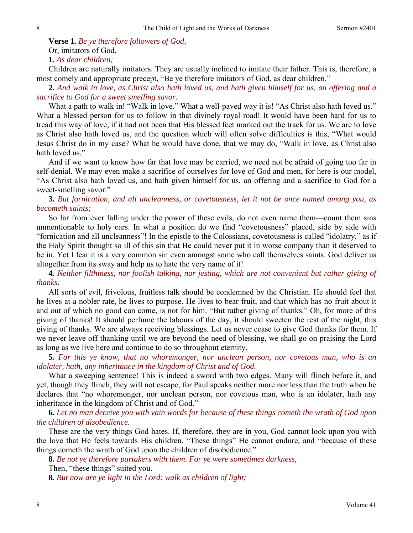**Verse 1***. Be ye therefore followers of God,* 

Or, imitators of God,—

**1***. As dear children;*

Children are naturally imitators. They are usually inclined to imitate their father. This is, therefore, a most comely and appropriate precept, "Be ye therefore imitators of God, as dear children."

**2***. And walk in love, as Christ also hath loved us, and hath given himself for us, an offering and a sacrifice to God for a sweet smelling savor.*

What a path to walk in! "Walk in love." What a well-paved way it is! "As Christ also hath loved us." What a blessed person for us to follow in that divinely royal road! It would have been hard for us to tread this way of love, if it had not been that His blessed feet marked out the track for us. We are to love as Christ also hath loved us, and the question which will often solve difficulties is this, "What would Jesus Christ do in my case? What he would have done, that we may do, "Walk in love, as Christ also hath loved us."

And if we want to know how far that love may be carried, we need not be afraid of going too far in self-denial. We may even make a sacrifice of ourselves for love of God and men, for here is our model, "As Christ also hath loved us, and hath given himself for us, an offering and a sacrifice to God for a sweet-smelling savor."

# **3***. But fornication, and all uncleanness, or covetousness, let it not be once named among you, as becometh saints;*

So far from ever falling under the power of these evils, do not even name them—count them sins unmentionable to holy ears. In what a position do we find "covetousness" placed, side by side with "fornication and all uncleanness"! In the epistle to the Colossians, covetousness is called "idolatry," as if the Holy Spirit thought so ill of this sin that He could never put it in worse company than it deserved to be in. Yet I fear it is a very common sin even amongst some who call themselves saints. God deliver us altogether from its sway and help us to hate the very name of it!

**4***. Neither filthiness, nor foolish talking, nor jesting, which are not convenient but rather giving of thanks.* 

All sorts of evil, frivolous, fruitless talk should be condemned by the Christian. He should feel that he lives at a nobler rate, he lives to purpose. He lives to bear fruit, and that which has no fruit about it and out of which no good can come, is not for him. "But rather giving of thanks." Oh, for more of this giving of thanks! It should perfume the labours of the day, it should sweeten the rest of the night, this giving of thanks. We are always receiving blessings. Let us never cease to give God thanks for them. If we never leave off thanking until we are beyond the need of blessing, we shall go on praising the Lord as long as we live here and continue to do so throughout eternity.

**5***. For this ye know, that no whoremonger, nor unclean person, nor covetous man, who is an idolater, hath, any inheritance in the kingdom of Christ and of God.*

What a sweeping sentence! This is indeed a sword with two edges. Many will flinch before it, and yet, though they flinch, they will not escape, for Paul speaks neither more nor less than the truth when he declares that "no whoremonger, nor unclean person, nor covetous man, who is an idolater, hath any inheritance in the kingdom of Christ and of God."

**6***. Let no man deceive you with vain words for because of these things cometh the wrath of God upon the children of disobedience.*

These are the very things God hates. If, therefore, they are in you, God cannot look upon you with the love that He feels towards His children. "These things" He cannot endure, and "because of these things cometh the wrath of God upon the children of disobedience."

**8***. Be not ye therefore partakers with them. For ye were sometimes darkness,*  Then, "these things" suited you.

**8***. But now are ye light in the Lord: walk as children of light;*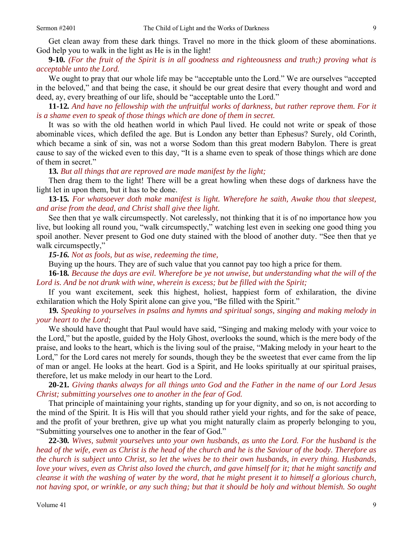Get clean away from these dark things. Travel no more in the thick gloom of these abominations. God help you to walk in the light as He is in the light!

### **9***-***10***. (For the fruit of the Spirit is in all goodness and righteousness and truth;) proving what is acceptable unto the Lord.*

We ought to pray that our whole life may be "acceptable unto the Lord." We are ourselves "accepted in the beloved," and that being the case, it should be our great desire that every thought and word and deed, ay, every breathing of our life, should be "acceptable unto the Lord."

**11***-***12***. And have no fellowship with the unfruitful works of darkness, but rather reprove them. For it is a shame even to speak of those things which are done of them in secret.*

It was so with the old heathen world in which Paul lived. He could not write or speak of those abominable vices, which defiled the age. But is London any better than Ephesus? Surely, old Corinth, which became a sink of sin, was not a worse Sodom than this great modern Babylon. There is great cause to say of the wicked even to this day, "It is a shame even to speak of those things which are done of them in secret."

**13***. But all things that are reproved are made manifest by the light;*

Then drag them to the light! There will be a great howling when these dogs of darkness have the light let in upon them, but it has to be done.

# **13***-***15***. For whatsoever doth make manifest is light. Wherefore he saith, Awake thou that sleepest, and arise from the dead, and Christ shall give thee light.*

See then that ye walk circumspectly. Not carelessly, not thinking that it is of no importance how you live, but looking all round you, "walk circumspectly," watching lest even in seeking one good thing you spoil another. Never present to God one duty stained with the blood of another duty. "See then that ye walk circumspectly,"

*15-16. Not as fools, but as wise, redeeming the time,*

Buying up the hours. They are of such value that you cannot pay too high a price for them.

**16***-***18***. Because the days are evil. Wherefore be ye not unwise, but understanding what the will of the Lord is. And be not drunk with wine, wherein is excess; but be filled with the Spirit;*

If you want excitement, seek this highest, holiest, happiest form of exhilaration, the divine exhilaration which the Holy Spirit alone can give you, "Be filled with the Spirit."

**19***. Speaking to yourselves in psalms and hymns and spiritual songs, singing and making melody in your heart to the Lord;* 

We should have thought that Paul would have said, "Singing and making melody with your voice to the Lord," but the apostle, guided by the Holy Ghost, overlooks the sound, which is the mere body of the praise, and looks to the heart, which is the living soul of the praise, "Making melody in your heart to the Lord," for the Lord cares not merely for sounds, though they be the sweetest that ever came from the lip of man or angel. He looks at the heart. God is a Spirit, and He looks spiritually at our spiritual praises, therefore, let us make melody in our heart to the Lord.

**20***-***21***. Giving thanks always for all things unto God and the Father in the name of our Lord Jesus Christ; submitting yourselves one to another in the fear of God.*

That principle of maintaining your rights, standing up for your dignity, and so on, is not according to the mind of the Spirit. It is His will that you should rather yield your rights, and for the sake of peace, and the profit of your brethren, give up what you might naturally claim as properly belonging to you, "Submitting yourselves one to another in the fear of God."

**22***-***30***. Wives, submit yourselves unto your own husbands, as unto the Lord. For the husband is the head of the wife, even as Christ is the head of the church and he is the Saviour of the body. Therefore as the church is subject unto Christ, so let the wives be to their own husbands, in every thing. Husbands, love your wives, even as Christ also loved the church, and gave himself for it; that he might sanctify and cleanse it with the washing of water by the word, that he might present it to himself a glorious church, not having spot, or wrinkle, or any such thing; but that it should be holy and without blemish. So ought*